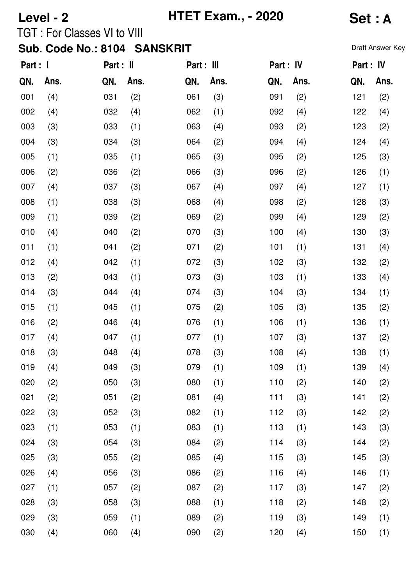# **Level - 2 HTET Exam., - 2020 Set : A**

TGT : For Classes VI to VIII

| Part : I |      | Part : II |      | Part : III |      | Part : IV |      | Part : IV |      |
|----------|------|-----------|------|------------|------|-----------|------|-----------|------|
| QN.      | Ans. | QN.       | Ans. | QN.        | Ans. | QN.       | Ans. | QN.       | Ans. |
| 001      | (4)  | 031       | (2)  | 061        | (3)  | 091       | (2)  | 121       | (2)  |
| 002      | (4)  | 032       | (4)  | 062        | (1)  | 092       | (4)  | 122       | (4)  |
| 003      | (3)  | 033       | (1)  | 063        | (4)  | 093       | (2)  | 123       | (2)  |
| 004      | (3)  | 034       | (3)  | 064        | (2)  | 094       | (4)  | 124       | (4)  |
| 005      | (1)  | 035       | (1)  | 065        | (3)  | 095       | (2)  | 125       | (3)  |
| 006      | (2)  | 036       | (2)  | 066        | (3)  | 096       | (2)  | 126       | (1)  |
| 007      | (4)  | 037       | (3)  | 067        | (4)  | 097       | (4)  | 127       | (1)  |
| 008      | (1)  | 038       | (3)  | 068        | (4)  | 098       | (2)  | 128       | (3)  |
| 009      | (1)  | 039       | (2)  | 069        | (2)  | 099       | (4)  | 129       | (2)  |
| 010      | (4)  | 040       | (2)  | 070        | (3)  | 100       | (4)  | 130       | (3)  |
| 011      | (1)  | 041       | (2)  | 071        | (2)  | 101       | (1)  | 131       | (4)  |
| 012      | (4)  | 042       | (1)  | 072        | (3)  | 102       | (3)  | 132       | (2)  |
| 013      | (2)  | 043       | (1)  | 073        | (3)  | 103       | (1)  | 133       | (4)  |
| 014      | (3)  | 044       | (4)  | 074        | (3)  | 104       | (3)  | 134       | (1)  |
| 015      | (1)  | 045       | (1)  | 075        | (2)  | 105       | (3)  | 135       | (2)  |
| 016      | (2)  | 046       | (4)  | 076        | (1)  | 106       | (1)  | 136       | (1)  |
| 017      | (4)  | 047       | (1)  | 077        | (1)  | 107       | (3)  | 137       | (2)  |
| 018      | (3)  | 048       | (4)  | 078        | (3)  | 108       | (4)  | 138       | (1)  |
| 019      | (4)  | 049       | (3)  | 079        | (1)  | 109       | (1)  | 139       | (4)  |
| 020      | (2)  | 050       | (3)  | 080        | (1)  | 110       | (2)  | 140       | (2)  |
| 021      | (2)  | 051       | (2)  | 081        | (4)  | 111       | (3)  | 141       | (2)  |
| 022      | (3)  | 052       | (3)  | 082        | (1)  | 112       | (3)  | 142       | (2)  |
| 023      | (1)  | 053       | (1)  | 083        | (1)  | 113       | (1)  | 143       | (3)  |
| 024      | (3)  | 054       | (3)  | 084        | (2)  | 114       | (3)  | 144       | (2)  |
| 025      | (3)  | 055       | (2)  | 085        | (4)  | 115       | (3)  | 145       | (3)  |
| 026      | (4)  | 056       | (3)  | 086        | (2)  | 116       | (4)  | 146       | (1)  |
| 027      | (1)  | 057       | (2)  | 087        | (2)  | 117       | (3)  | 147       | (2)  |
| 028      | (3)  | 058       | (3)  | 088        | (1)  | 118       | (2)  | 148       | (2)  |
| 029      | (3)  | 059       | (1)  | 089        | (2)  | 119       | (3)  | 149       | (1)  |
| 030      | (4)  | 060       | (4)  | 090        | (2)  | 120       | (4)  | 150       | (1)  |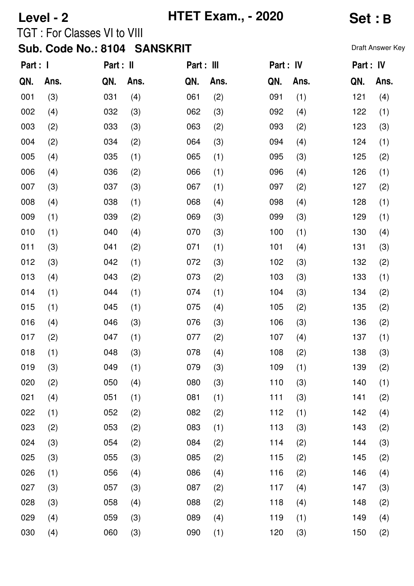# **Level - 2 HTET Exam., - 2020 Set : B**

TGT : For Classes VI to VIII

| Part : I |      | Part : II |      | Part : III |      | Part : IV |      | Part : IV |      |
|----------|------|-----------|------|------------|------|-----------|------|-----------|------|
| QN.      | Ans. | QN.       | Ans. | QN.        | Ans. | QN.       | Ans. | QN.       | Ans. |
| 001      | (3)  | 031       | (4)  | 061        | (2)  | 091       | (1)  | 121       | (4)  |
| 002      | (4)  | 032       | (3)  | 062        | (3)  | 092       | (4)  | 122       | (1)  |
| 003      | (2)  | 033       | (3)  | 063        | (2)  | 093       | (2)  | 123       | (3)  |
| 004      | (2)  | 034       | (2)  | 064        | (3)  | 094       | (4)  | 124       | (1)  |
| 005      | (4)  | 035       | (1)  | 065        | (1)  | 095       | (3)  | 125       | (2)  |
| 006      | (4)  | 036       | (2)  | 066        | (1)  | 096       | (4)  | 126       | (1)  |
| 007      | (3)  | 037       | (3)  | 067        | (1)  | 097       | (2)  | 127       | (2)  |
| 008      | (4)  | 038       | (1)  | 068        | (4)  | 098       | (4)  | 128       | (1)  |
| 009      | (1)  | 039       | (2)  | 069        | (3)  | 099       | (3)  | 129       | (1)  |
| 010      | (1)  | 040       | (4)  | 070        | (3)  | 100       | (1)  | 130       | (4)  |
| 011      | (3)  | 041       | (2)  | 071        | (1)  | 101       | (4)  | 131       | (3)  |
| 012      | (3)  | 042       | (1)  | 072        | (3)  | 102       | (3)  | 132       | (2)  |
| 013      | (4)  | 043       | (2)  | 073        | (2)  | 103       | (3)  | 133       | (1)  |
| 014      | (1)  | 044       | (1)  | 074        | (1)  | 104       | (3)  | 134       | (2)  |
| 015      | (1)  | 045       | (1)  | 075        | (4)  | 105       | (2)  | 135       | (2)  |
| 016      | (4)  | 046       | (3)  | 076        | (3)  | 106       | (3)  | 136       | (2)  |
| 017      | (2)  | 047       | (1)  | 077        | (2)  | 107       | (4)  | 137       | (1)  |
| 018      | (1)  | 048       | (3)  | 078        | (4)  | 108       | (2)  | 138       | (3)  |
| 019      | (3)  | 049       | (1)  | 079        | (3)  | 109       | (1)  | 139       | (2)  |
| 020      | (2)  | 050       | (4)  | 080        | (3)  | 110       | (3)  | 140       | (1)  |
| 021      | (4)  | 051       | (1)  | 081        | (1)  | 111       | (3)  | 141       | (2)  |
| 022      | (1)  | 052       | (2)  | 082        | (2)  | 112       | (1)  | 142       | (4)  |
| 023      | (2)  | 053       | (2)  | 083        | (1)  | 113       | (3)  | 143       | (2)  |
| 024      | (3)  | 054       | (2)  | 084        | (2)  | 114       | (2)  | 144       | (3)  |
| 025      | (3)  | 055       | (3)  | 085        | (2)  | 115       | (2)  | 145       | (2)  |
| 026      | (1)  | 056       | (4)  | 086        | (4)  | 116       | (2)  | 146       | (4)  |
| 027      | (3)  | 057       | (3)  | 087        | (2)  | 117       | (4)  | 147       | (3)  |
| 028      | (3)  | 058       | (4)  | 088        | (2)  | 118       | (4)  | 148       | (2)  |
| 029      | (4)  | 059       | (3)  | 089        | (4)  | 119       | (1)  | 149       | (4)  |
| 030      | (4)  | 060       | (3)  | 090        | (1)  | 120       | (3)  | 150       | (2)  |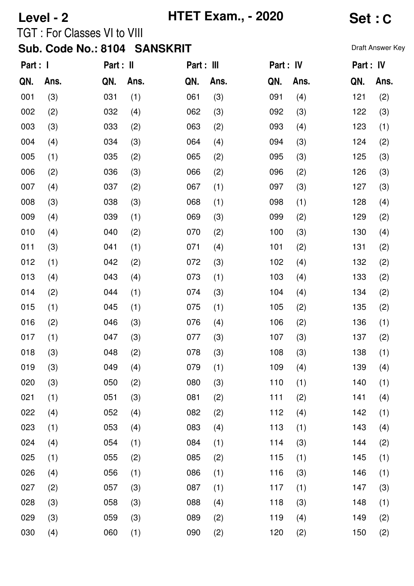## **Level - 2 HTET Exam., - 2020 Set : C**

TGT : For Classes VI to VIII

| Part : I |      | Part : II |      | Part : III |      | Part : IV |      | Part : IV |      |
|----------|------|-----------|------|------------|------|-----------|------|-----------|------|
| QN.      | Ans. | QN.       | Ans. | QN.        | Ans. | QN.       | Ans. | QN.       | Ans. |
| 001      | (3)  | 031       | (1)  | 061        | (3)  | 091       | (4)  | 121       | (2)  |
| 002      | (2)  | 032       | (4)  | 062        | (3)  | 092       | (3)  | 122       | (3)  |
| 003      | (3)  | 033       | (2)  | 063        | (2)  | 093       | (4)  | 123       | (1)  |
| 004      | (4)  | 034       | (3)  | 064        | (4)  | 094       | (3)  | 124       | (2)  |
| 005      | (1)  | 035       | (2)  | 065        | (2)  | 095       | (3)  | 125       | (3)  |
| 006      | (2)  | 036       | (3)  | 066        | (2)  | 096       | (2)  | 126       | (3)  |
| 007      | (4)  | 037       | (2)  | 067        | (1)  | 097       | (3)  | 127       | (3)  |
| 008      | (3)  | 038       | (3)  | 068        | (1)  | 098       | (1)  | 128       | (4)  |
| 009      | (4)  | 039       | (1)  | 069        | (3)  | 099       | (2)  | 129       | (2)  |
| 010      | (4)  | 040       | (2)  | 070        | (2)  | 100       | (3)  | 130       | (4)  |
| 011      | (3)  | 041       | (1)  | 071        | (4)  | 101       | (2)  | 131       | (2)  |
| 012      | (1)  | 042       | (2)  | 072        | (3)  | 102       | (4)  | 132       | (2)  |
| 013      | (4)  | 043       | (4)  | 073        | (1)  | 103       | (4)  | 133       | (2)  |
| 014      | (2)  | 044       | (1)  | 074        | (3)  | 104       | (4)  | 134       | (2)  |
| 015      | (1)  | 045       | (1)  | 075        | (1)  | 105       | (2)  | 135       | (2)  |
| 016      | (2)  | 046       | (3)  | 076        | (4)  | 106       | (2)  | 136       | (1)  |
| 017      | (1)  | 047       | (3)  | 077        | (3)  | 107       | (3)  | 137       | (2)  |
| 018      | (3)  | 048       | (2)  | 078        | (3)  | 108       | (3)  | 138       | (1)  |
| 019      | (3)  | 049       | (4)  | 079        | (1)  | 109       | (4)  | 139       | (4)  |
| 020      | (3)  | 050       | (2)  | 080        | (3)  | 110       | (1)  | 140       | (1)  |
| 021      | (1)  | 051       | (3)  | 081        | (2)  | 111       | (2)  | 141       | (4)  |
| 022      | (4)  | 052       | (4)  | 082        | (2)  | 112       | (4)  | 142       | (1)  |
| 023      | (1)  | 053       | (4)  | 083        | (4)  | 113       | (1)  | 143       | (4)  |
| 024      | (4)  | 054       | (1)  | 084        | (1)  | 114       | (3)  | 144       | (2)  |
| 025      | (1)  | 055       | (2)  | 085        | (2)  | 115       | (1)  | 145       | (1)  |
| 026      | (4)  | 056       | (1)  | 086        | (1)  | 116       | (3)  | 146       | (1)  |
| 027      | (2)  | 057       | (3)  | 087        | (1)  | 117       | (1)  | 147       | (3)  |
| 028      | (3)  | 058       | (3)  | 088        | (4)  | 118       | (3)  | 148       | (1)  |
| 029      | (3)  | 059       | (3)  | 089        | (2)  | 119       | (4)  | 149       | (2)  |
| 030      | (4)  | 060       | (1)  | 090        | (2)  | 120       | (2)  | 150       | (2)  |